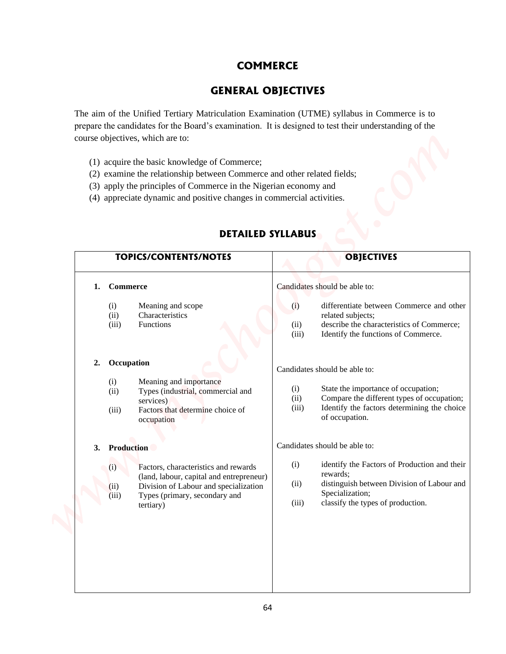## **COMMERCE**

## **GENERAL OBJECTIVES**

- (1) acquire the basic knowledge of Commerce;
- (2) examine the relationship between Commerce and other related fields;
- (3) apply the principles of Commerce in the Nigerian economy and
- (4) appreciate dynamic and positive changes in commercial activities.

| <b>COMMERCE</b>              |                                                                                                                                                                                                                                                                                                                                                                                                                                                                                                                  |                                                                                                                                                                            |  |
|------------------------------|------------------------------------------------------------------------------------------------------------------------------------------------------------------------------------------------------------------------------------------------------------------------------------------------------------------------------------------------------------------------------------------------------------------------------------------------------------------------------------------------------------------|----------------------------------------------------------------------------------------------------------------------------------------------------------------------------|--|
|                              | <b>GENERAL OBJECTIVES</b>                                                                                                                                                                                                                                                                                                                                                                                                                                                                                        |                                                                                                                                                                            |  |
|                              | The aim of the Unified Tertiary Matriculation Examination (UTME) syllabus in Commerce is to<br>prepare the candidates for the Board's examination. It is designed to test their understanding of the<br>course objectives, which are to:<br>(1) acquire the basic knowledge of Commerce;<br>(2) examine the relationship between Commerce and other related fields;<br>(3) apply the principles of Commerce in the Nigerian economy and<br>(4) appreciate dynamic and positive changes in commercial activities. |                                                                                                                                                                            |  |
|                              | <b>DETAILED SYLLABUS</b>                                                                                                                                                                                                                                                                                                                                                                                                                                                                                         |                                                                                                                                                                            |  |
| <b>TOPICS/CONTENTS/NOTES</b> |                                                                                                                                                                                                                                                                                                                                                                                                                                                                                                                  | <b>OBJECTIVES</b>                                                                                                                                                          |  |
| 1.                           | <b>Commerce</b>                                                                                                                                                                                                                                                                                                                                                                                                                                                                                                  | Candidates should be able to:                                                                                                                                              |  |
|                              | (i)<br>Meaning and scope<br>Characteristics<br>(ii)<br>(iii)<br><b>Functions</b>                                                                                                                                                                                                                                                                                                                                                                                                                                 | differentiate between Commerce and other<br>(i)<br>related subjects;<br>describe the characteristics of Commerce;<br>(ii)<br>Identify the functions of Commerce.<br>(iii)  |  |
|                              | 2. Occupation                                                                                                                                                                                                                                                                                                                                                                                                                                                                                                    | Candidates should be able to:                                                                                                                                              |  |
|                              | (i)<br>Meaning and importance<br>Types (industrial, commercial and<br>(ii)<br>services)<br>Factors that determine choice of<br>(iii)<br>occupation                                                                                                                                                                                                                                                                                                                                                               | State the importance of occupation;<br>(i)<br>Compare the different types of occupation;<br>(ii)<br>Identify the factors determining the choice<br>(iii)<br>of occupation. |  |
|                              | Production                                                                                                                                                                                                                                                                                                                                                                                                                                                                                                       | Candidates should be able to:                                                                                                                                              |  |
| 3.                           | Factors, characteristics and rewards<br>(i)<br>(land, labour, capital and entrepreneur)<br>Division of Labour and specialization<br>(ii)                                                                                                                                                                                                                                                                                                                                                                         | identify the Factors of Production and their<br>(i)<br>rewards;<br>distinguish between Division of Labour and<br>(ii)<br>Specialization;                                   |  |

## **DETAILED SYLLABUS**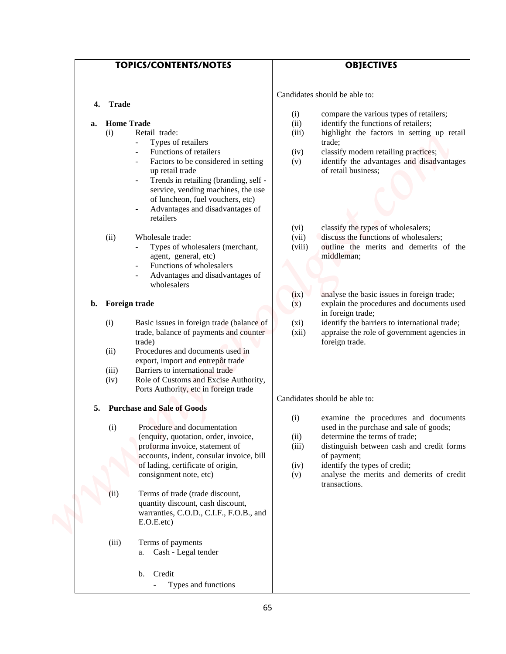| <b>TOPICS/CONTENTS/NOTES</b>                                                                                                                                                                                                                                                                                                                                                                                                                                        | <b>OBJECTIVES</b>                                                                                                                                                                                                                                                                                                                                                                            |  |
|---------------------------------------------------------------------------------------------------------------------------------------------------------------------------------------------------------------------------------------------------------------------------------------------------------------------------------------------------------------------------------------------------------------------------------------------------------------------|----------------------------------------------------------------------------------------------------------------------------------------------------------------------------------------------------------------------------------------------------------------------------------------------------------------------------------------------------------------------------------------------|--|
|                                                                                                                                                                                                                                                                                                                                                                                                                                                                     | Candidates should be able to:                                                                                                                                                                                                                                                                                                                                                                |  |
| <b>Trade</b><br>4.                                                                                                                                                                                                                                                                                                                                                                                                                                                  | compare the various types of retailers;<br>(i)                                                                                                                                                                                                                                                                                                                                               |  |
| <b>Home Trade</b><br>a.<br>(i)<br>Retail trade:<br>Types of retailers<br>Functions of retailers<br>Factors to be considered in setting<br>up retail trade<br>Trends in retailing (branding, self -<br>service, vending machines, the use<br>of luncheon, fuel vouchers, etc)<br>Advantages and disadvantages of<br>retailers<br>(ii)<br>Wholesale trade:<br>Types of wholesalers (merchant,                                                                         | (ii)<br>identify the functions of retailers;<br>highlight the factors in setting up retail<br>(iii)<br>trade;<br>classify modern retailing practices;<br>(iv)<br>identify the advantages and disadvantages<br>(v)<br>of retail business;<br>classify the types of wholesalers;<br>(vi)<br>discuss the functions of wholesalers;<br>(vii)<br>outline the merits and demerits of the<br>(viii) |  |
| agent, general, etc)<br>Functions of wholesalers<br>Advantages and disadvantages of<br>wholesalers<br>Foreign trade<br>b.<br>(i)<br>Basic issues in foreign trade (balance of<br>trade, balance of payments and counter<br>trade)<br>Procedures and documents used in<br>(ii)<br>export, import and entrepôt trade<br>Barriers to international trade<br>(iii)<br>Role of Customs and Excise Authority,<br>(iv)<br>Ports Authority, etc in foreign trade            | middleman;<br>analyse the basic issues in foreign trade;<br>(ix)<br>explain the procedures and documents used<br>(x)<br>in foreign trade;<br>identify the barriers to international trade;<br>$(x_i)$<br>(xii)<br>appraise the role of government agencies in<br>foreign trade.<br>Candidates should be able to:                                                                             |  |
| <b>Purchase and Sale of Goods</b><br>5.<br>(i)<br>Procedure and documentation<br>(enquiry, quotation, order, invoice,<br>proforma invoice, statement of<br>accounts, indent, consular invoice, bill<br>of lading, certificate of origin,<br>consignment note, etc)<br>Terms of trade (trade discount,<br>(i)<br>quantity discount, cash discount,<br>warranties, C.O.D., C.I.F., F.O.B., and<br>E.O.E. etc.<br>(iii)<br>Terms of payments<br>a. Cash - Legal tender | examine the procedures and documents<br>(i)<br>used in the purchase and sale of goods;<br>determine the terms of trade;<br>(ii)<br>(iii)<br>distinguish between cash and credit forms<br>of payment;<br>identify the types of credit;<br>(iv)<br>analyse the merits and demerits of credit<br>(v)<br>transactions.                                                                           |  |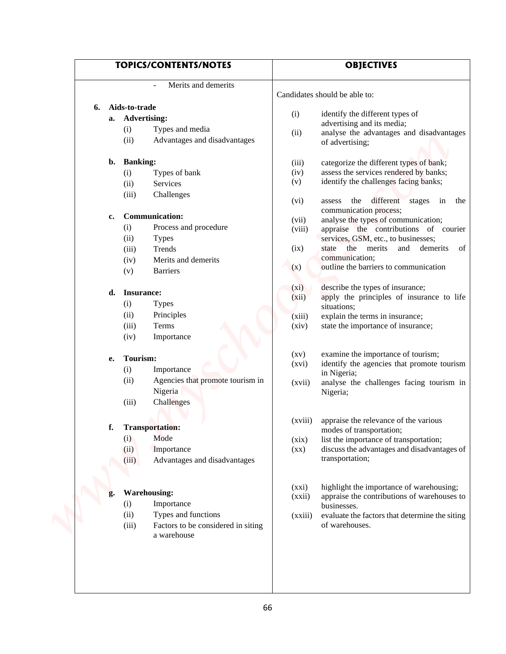|    | <b>TOPICS/CONTENTS/NOTES</b>                   |                                   | <b>OBJECTIVES</b>                                                                     |
|----|------------------------------------------------|-----------------------------------|---------------------------------------------------------------------------------------|
|    | Merits and demerits                            |                                   | Candidates should be able to:                                                         |
| 6. | Aids-to-trade                                  |                                   |                                                                                       |
|    | a. Advertising:                                | (i)                               | identify the different types of                                                       |
|    | Types and media<br>(i)                         | (ii)                              | advertising and its media;<br>analyse the advantages and disadvantages                |
|    | (ii)<br>Advantages and disadvantages           |                                   | of advertising;                                                                       |
| b. | <b>Banking:</b>                                | (iii)                             | categorize the different types of bank;                                               |
|    | (i)<br>Types of bank                           | (iv)                              | assess the services rendered by banks;                                                |
|    | (ii)<br>Services                               | (v)                               | identify the challenges facing banks;                                                 |
|    | (iii)<br>Challenges                            | (vi)                              | different stages in<br>the<br>assess<br>the<br>communication process;                 |
| c. | <b>Communication:</b>                          | (vii)                             | analyse the types of communication;                                                   |
|    | Process and procedure<br>(i)                   | (viii)                            | appraise the contributions of courier                                                 |
|    | (ii)<br><b>Types</b>                           |                                   | services, GSM, etc., to businesses;<br>of                                             |
|    | (iii)<br>Trends<br>Merits and demerits<br>(iv) | (ix)                              | state the merits and demerits<br>communication;                                       |
|    | (v)<br><b>Barriers</b>                         | (x)                               | outline the barriers to communication                                                 |
| d. | Insurance:                                     | (xi)                              | describe the types of insurance;                                                      |
|    | (i)<br><b>Types</b>                            | (xii)                             | apply the principles of insurance to life<br>situations;                              |
|    | (ii)<br>Principles                             | (xiii)                            | explain the terms in insurance;                                                       |
|    | (iii)<br>Terms                                 | (xiv)                             | state the importance of insurance;                                                    |
|    | (iv)<br>Importance                             |                                   |                                                                                       |
| е. | Tourism:                                       | $\left( xy\right)$                | examine the importance of tourism;                                                    |
|    | (i)<br>Importance                              | (xvi)                             | identify the agencies that promote tourism<br>in Nigeria;                             |
|    | Agencies that promote tourism in<br>(ii)       | (xvii)                            | analyse the challenges facing tourism in                                              |
|    | Nigeria                                        |                                   | Nigeria;                                                                              |
|    | (iii)<br>Challenges                            |                                   |                                                                                       |
|    |                                                | (xviii)                           | appraise the relevance of the various                                                 |
| f. | <b>Transportation:</b><br>Mode                 |                                   | modes of transportation;                                                              |
|    | (i)<br>(ii)<br>Importance                      | (xix)<br>$(\mathbf{X}\mathbf{X})$ | list the importance of transportation;<br>discuss the advantages and disadvantages of |
|    | Advantages and disadvantages<br>(iii)          |                                   | transportation;                                                                       |
|    |                                                |                                   |                                                                                       |
|    | <b>Warehousing:</b>                            | (xxi)                             | highlight the importance of warehousing;                                              |
| g. | (i)<br>Importance                              | (xxii)                            | appraise the contributions of warehouses to                                           |
|    | (ii)<br>Types and functions                    | (xxiii)                           | businesses.<br>evaluate the factors that determine the siting                         |
|    | (iii)<br>Factors to be considered in siting    |                                   | of warehouses.                                                                        |
|    | a warehouse                                    |                                   |                                                                                       |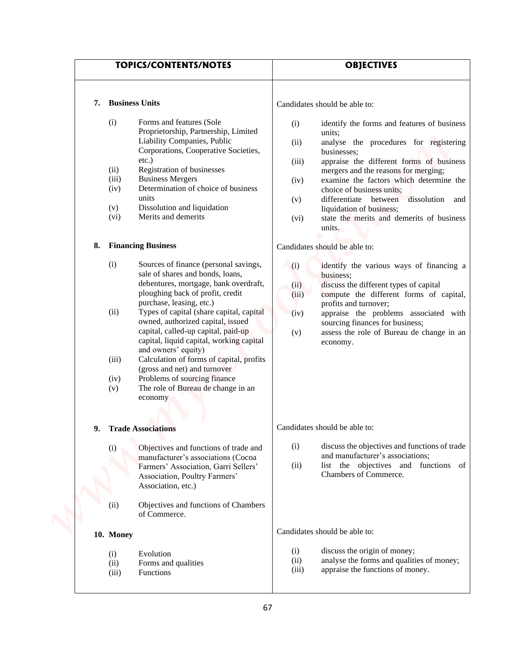|    |                                                                                    | <b>TOPICS/CONTENTS/NOTES</b>                                                                                                                                                                                                                                                                                                                                                                                                                                                                                                                                                                                                                                                                                                                                                                                                                                                                  |                                                                                    | <b>OBJECTIVES</b>                                                                                                                                                                                                                                                                                                                                                                                                                                                                                                                                                                                                                                                                                                                                         |
|----|------------------------------------------------------------------------------------|-----------------------------------------------------------------------------------------------------------------------------------------------------------------------------------------------------------------------------------------------------------------------------------------------------------------------------------------------------------------------------------------------------------------------------------------------------------------------------------------------------------------------------------------------------------------------------------------------------------------------------------------------------------------------------------------------------------------------------------------------------------------------------------------------------------------------------------------------------------------------------------------------|------------------------------------------------------------------------------------|-----------------------------------------------------------------------------------------------------------------------------------------------------------------------------------------------------------------------------------------------------------------------------------------------------------------------------------------------------------------------------------------------------------------------------------------------------------------------------------------------------------------------------------------------------------------------------------------------------------------------------------------------------------------------------------------------------------------------------------------------------------|
| 7. |                                                                                    | <b>Business Units</b>                                                                                                                                                                                                                                                                                                                                                                                                                                                                                                                                                                                                                                                                                                                                                                                                                                                                         |                                                                                    | Candidates should be able to:                                                                                                                                                                                                                                                                                                                                                                                                                                                                                                                                                                                                                                                                                                                             |
| 8. | (i)<br>(ii)<br>(iii)<br>(iv)<br>(v)<br>(vi)<br>(i)<br>(ii)<br>(iii)<br>(iv)<br>(v) | Forms and features (Sole<br>Proprietorship, Partnership, Limited<br>Liability Companies, Public<br>Corporations, Cooperative Societies,<br>$etc.$ )<br>Registration of businesses<br><b>Business Mergers</b><br>Determination of choice of business<br>units<br>Dissolution and liquidation<br>Merits and demerits<br><b>Financing Business</b><br>Sources of finance (personal savings,<br>sale of shares and bonds, loans,<br>debentures, mortgage, bank overdraft,<br>ploughing back of profit, credit<br>purchase, leasing, etc.)<br>Types of capital (share capital, capital<br>owned, authorized capital, issued<br>capital, called-up capital, paid-up<br>capital, liquid capital, working capital<br>and owners' equity)<br>Calculation of forms of capital, profits<br>(gross and net) and turnover<br>Problems of sourcing finance<br>The role of Bureau de change in an<br>economy | (i)<br>(ii)<br>(iii)<br>(iv)<br>(v)<br>(vi)<br>(i)<br>(ii)<br>(iii)<br>(iv)<br>(v) | identify the forms and features of business<br>units;<br>analyse the procedures for registering<br>businesses;<br>appraise the different forms of business<br>mergers and the reasons for merging;<br>examine the factors which determine the<br>choice of business units;<br>differentiate between<br>dissolution<br>and<br>liquidation of business;<br>state the merits and demerits of business<br>units.<br>Candidates should be able to:<br>identify the various ways of financing a<br>business;<br>discuss the different types of capital<br>compute the different forms of capital,<br>profits and turnover;<br>appraise the problems associated with<br>sourcing finances for business;<br>assess the role of Bureau de change in an<br>economy. |
| 9. | (i)                                                                                | <b>Trade Associations</b><br>Objectives and functions of trade and<br>manufacturer's associations (Cocoa                                                                                                                                                                                                                                                                                                                                                                                                                                                                                                                                                                                                                                                                                                                                                                                      | (i)                                                                                | Candidates should be able to:<br>discuss the objectives and functions of trade<br>and manufacturer's associations;                                                                                                                                                                                                                                                                                                                                                                                                                                                                                                                                                                                                                                        |
|    |                                                                                    | Farmers' Association, Garri Sellers'<br>Association, Poultry Farmers'<br>Association, etc.)                                                                                                                                                                                                                                                                                                                                                                                                                                                                                                                                                                                                                                                                                                                                                                                                   | (ii)                                                                               | list the objectives and functions of<br>Chambers of Commerce.                                                                                                                                                                                                                                                                                                                                                                                                                                                                                                                                                                                                                                                                                             |
|    | (ii)                                                                               | Objectives and functions of Chambers<br>of Commerce.                                                                                                                                                                                                                                                                                                                                                                                                                                                                                                                                                                                                                                                                                                                                                                                                                                          |                                                                                    |                                                                                                                                                                                                                                                                                                                                                                                                                                                                                                                                                                                                                                                                                                                                                           |
|    | 10. Money                                                                          |                                                                                                                                                                                                                                                                                                                                                                                                                                                                                                                                                                                                                                                                                                                                                                                                                                                                                               |                                                                                    | Candidates should be able to:                                                                                                                                                                                                                                                                                                                                                                                                                                                                                                                                                                                                                                                                                                                             |
|    | (i)<br>(ii)<br>(iii)                                                               | Evolution<br>Forms and qualities<br><b>Functions</b>                                                                                                                                                                                                                                                                                                                                                                                                                                                                                                                                                                                                                                                                                                                                                                                                                                          | (i)<br>(ii)<br>(iii)                                                               | discuss the origin of money;<br>analyse the forms and qualities of money;<br>appraise the functions of money.                                                                                                                                                                                                                                                                                                                                                                                                                                                                                                                                                                                                                                             |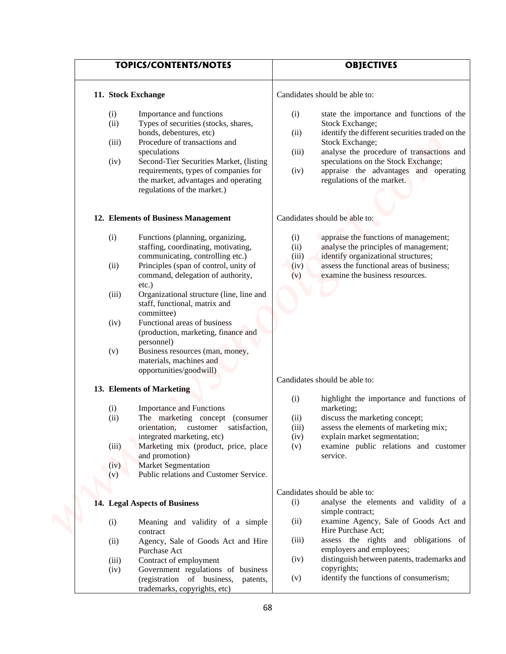|                                     | <b>TOPICS/CONTENTS/NOTES</b><br>11. Stock Exchange                                                                                                                                                                                                                                                                                                                                                                                                  |                                     | <b>OBJECTIVES</b>                                                                                                                                                                                                                                                                             |  |
|-------------------------------------|-----------------------------------------------------------------------------------------------------------------------------------------------------------------------------------------------------------------------------------------------------------------------------------------------------------------------------------------------------------------------------------------------------------------------------------------------------|-------------------------------------|-----------------------------------------------------------------------------------------------------------------------------------------------------------------------------------------------------------------------------------------------------------------------------------------------|--|
|                                     |                                                                                                                                                                                                                                                                                                                                                                                                                                                     |                                     | Candidates should be able to:                                                                                                                                                                                                                                                                 |  |
| (i)<br>(ii)<br>(iii)<br>(iv)        | Importance and functions<br>Types of securities (stocks, shares,<br>bonds, debentures, etc)<br>Procedure of transactions and<br>speculations<br>Second-Tier Securities Market, (listing<br>requirements, types of companies for<br>the market, advantages and operating<br>regulations of the market.)                                                                                                                                              | (i)<br>(ii)<br>(iii)<br>(iv)        | state the importance and functions of the<br>Stock Exchange;<br>identify the different securities traded on the<br>Stock Exchange;<br>analyse the procedure of transactions and<br>speculations on the Stock Exchange;<br>appraise the advantages and operating<br>regulations of the market. |  |
|                                     | 12. Elements of Business Management                                                                                                                                                                                                                                                                                                                                                                                                                 |                                     | Candidates should be able to:                                                                                                                                                                                                                                                                 |  |
| (i)<br>(ii)<br>(iii)<br>(iv)<br>(v) | Functions (planning, organizing,<br>staffing, coordinating, motivating,<br>communicating, controlling etc.)<br>Principles (span of control, unity of<br>command, delegation of authority,<br>$etc.$ )<br>Organizational structure (line, line and<br>staff, functional, matrix and<br>committee)<br>Functional areas of business<br>(production, marketing, finance and<br>personnel)<br>Business resources (man, money,<br>materials, machines and | (i)<br>(ii)<br>(iii)<br>(iv)<br>(v) | appraise the functions of management;<br>analyse the principles of management;<br>identify organizational structures;<br>assess the functional areas of business;<br>examine the business resources.                                                                                          |  |
|                                     | opportunities/goodwill)                                                                                                                                                                                                                                                                                                                                                                                                                             |                                     | Candidates should be able to:                                                                                                                                                                                                                                                                 |  |
| (i)<br>(ii)<br>(iii)<br>(iv)<br>(v) | 13. Elements of Marketing<br><b>Importance and Functions</b><br>The marketing concept<br>(consumer<br>orientation, customer<br>satisfaction,<br>integrated marketing, etc)<br>Marketing mix (product, price, place<br>and promotion)<br><b>Market Segmentation</b><br>Public relations and Customer Service.                                                                                                                                        | (i)<br>(ii)<br>(iii)<br>(iv)<br>(v) | highlight the importance and functions of<br>marketing;<br>discuss the marketing concept;<br>assess the elements of marketing mix;<br>explain market segmentation;<br>examine public relations and customer<br>service.                                                                       |  |
|                                     |                                                                                                                                                                                                                                                                                                                                                                                                                                                     |                                     | Candidates should be able to:                                                                                                                                                                                                                                                                 |  |
|                                     | 14. Legal Aspects of Business                                                                                                                                                                                                                                                                                                                                                                                                                       | (i)                                 | analyse the elements and validity of a<br>simple contract;                                                                                                                                                                                                                                    |  |
| (i)<br>(ii)                         | Meaning and validity of a simple<br>contract<br>Agency, Sale of Goods Act and Hire                                                                                                                                                                                                                                                                                                                                                                  | (ii)<br>(iii)                       | examine Agency, Sale of Goods Act and<br>Hire Purchase Act;<br>assess the rights and obligations of                                                                                                                                                                                           |  |
| (iii)<br>(iv)                       | Purchase Act<br>Contract of employment<br>Government regulations of business<br>(registration of business,<br>patents,<br>trademarks, copyrights, etc)                                                                                                                                                                                                                                                                                              | (iv)<br>(v)                         | employers and employees;<br>distinguish between patents, trademarks and<br>copyrights;<br>identify the functions of consumerism;                                                                                                                                                              |  |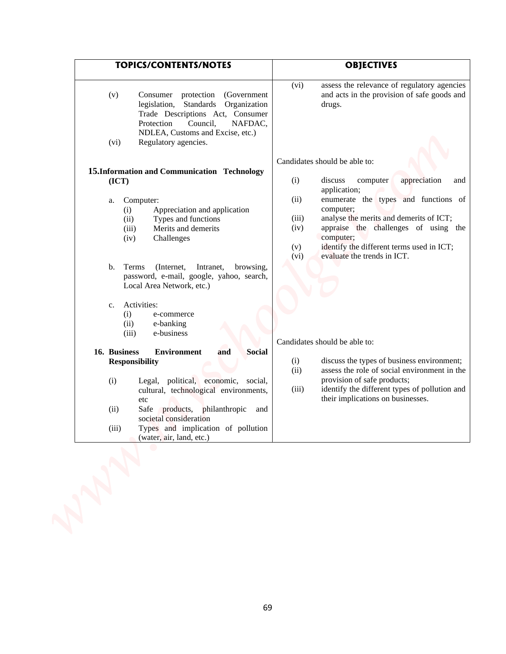| <b>TOPICS/CONTENTS/NOTES</b>                                                                                                                                                                                                                                            | <b>OBJECTIVES</b>                                                                                                                                                                                                                                                                     |
|-------------------------------------------------------------------------------------------------------------------------------------------------------------------------------------------------------------------------------------------------------------------------|---------------------------------------------------------------------------------------------------------------------------------------------------------------------------------------------------------------------------------------------------------------------------------------|
| Consumer protection<br>(v)<br>(Government)<br>legislation, Standards<br>Organization<br>Trade Descriptions Act, Consumer<br>Protection<br>Council,<br>NAFDAC,<br>NDLEA, Customs and Excise, etc.)<br>Regulatory agencies.<br>(vi)                                       | assess the relevance of regulatory agencies<br>(vi)<br>and acts in the provision of safe goods and<br>drugs.                                                                                                                                                                          |
|                                                                                                                                                                                                                                                                         | Candidates should be able to:                                                                                                                                                                                                                                                         |
| 15. Information and Communication Technology<br>(ICT)                                                                                                                                                                                                                   | discuss<br>appreciation<br>(i)<br>computer<br>and                                                                                                                                                                                                                                     |
| Computer:<br>a.<br>Appreciation and application<br>(i)<br>(ii)<br>Types and functions<br>Merits and demerits<br>(iii)<br>(iv)<br>Challenges                                                                                                                             | application;<br>enumerate the types and functions of<br>(ii)<br>computer;<br>analyse the merits and demerits of ICT;<br>(iii)<br>appraise the challenges of using the<br>(iv)<br>computer;<br>identify the different terms used in ICT;<br>(v)<br>evaluate the trends in ICT.<br>(vi) |
| Terms<br>$\mathbf b$ .<br>(Internet,<br>Intranet,<br>browsing,<br>password, e-mail, google, yahoo, search,<br>Local Area Network, etc.)                                                                                                                                 |                                                                                                                                                                                                                                                                                       |
| Activities:<br>c.<br>(i)<br>e-commerce<br>(ii)<br>e-banking<br>(iii)<br>e-business                                                                                                                                                                                      | Candidates should be able to:                                                                                                                                                                                                                                                         |
| 16. Business<br><b>Social</b><br><b>Environment</b><br>and                                                                                                                                                                                                              |                                                                                                                                                                                                                                                                                       |
| <b>Responsibility</b><br>(i)<br>Legal, political, economic, social,<br>cultural, technological environments,<br>etc<br>Safe products, philanthropic<br>(ii)<br>and<br>societal consideration<br>Types and implication of pollution<br>(iii)<br>(water, air, land, etc.) | discuss the types of business environment;<br>(i)<br>assess the role of social environment in the<br>(ii)<br>provision of safe products;<br>identify the different types of pollution and<br>(iii)<br>their implications on businesses.                                               |